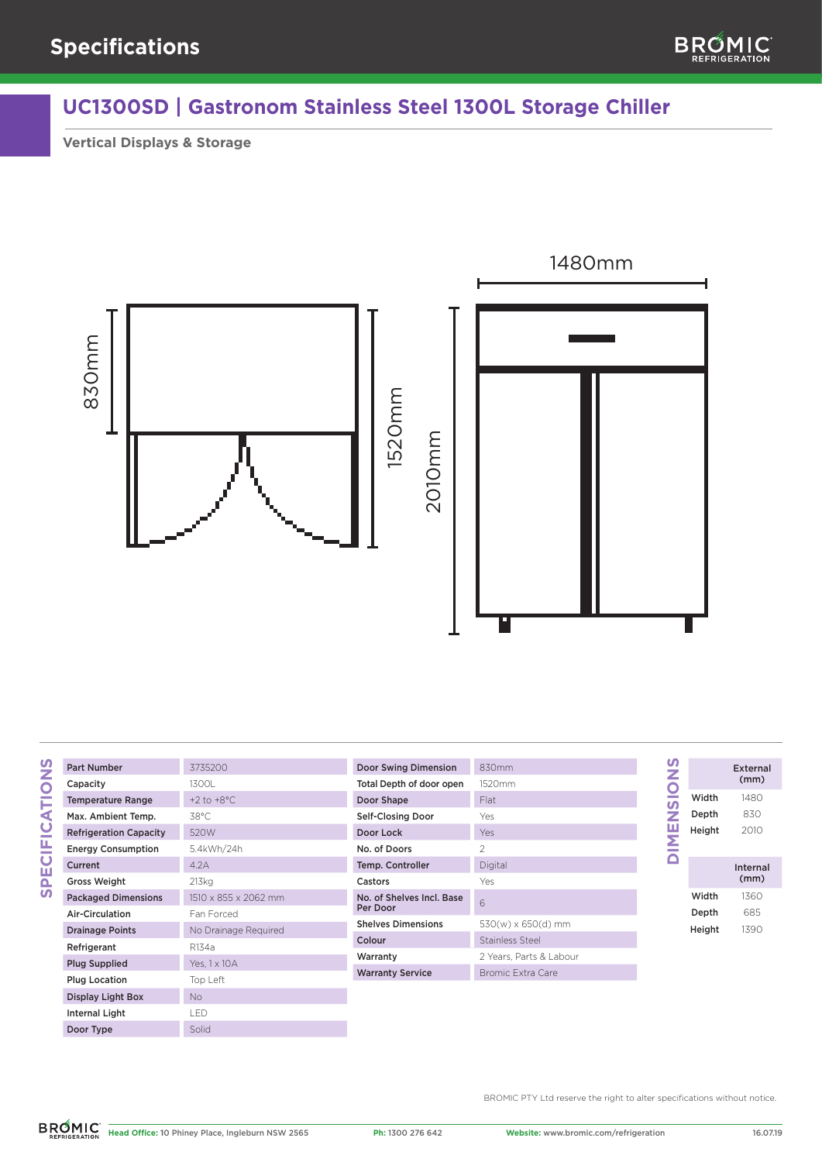

## **UC1300SD | Gastronom Stainless Steel 1300L Storage Chiller**

**Vertical Displays & Storage**



## **SPECIFICATIONS SPECIFICATIONS**

Door Type

| <b>Part Number</b>            | 3735200                |
|-------------------------------|------------------------|
| Capacity                      | 1300L                  |
| <b>Temperature Range</b>      | $+2$ to $+8^{\circ}$ C |
| Max. Ambient Temp.            | 38°C                   |
| <b>Refrigeration Capacity</b> | 520W                   |
| <b>Energy Consumption</b>     | 5.4kWh/24h             |
| Current                       | 4.2A                   |
| <b>Gross Weight</b>           | 213kg                  |
| <b>Packaged Dimensions</b>    | 1510 x 855 x 2062 mm   |
| Air-Circulation               | Fan Forced             |
| <b>Drainage Points</b>        | No Drainage Reguired   |
| Refrigerant                   | R134a                  |
| <b>Plug Supplied</b>          | Yes, 1 x 10 A          |
| <b>Plug Location</b>          | Top Left               |
| Display Light Box             | <b>No</b>              |
| Internal Light                | i FD                   |
| Door Tung                     | C <sub>olid</sub>      |

| Door Swing Dimension                  | 830mm                   |
|---------------------------------------|-------------------------|
| Total Depth of door open              | 1520mm                  |
| Door Shape                            | Flat                    |
| <b>Self-Closing Door</b>              | Yes                     |
| Door Lock                             | Yes                     |
| No. of Doors                          | 2                       |
| Temp. Controller                      | Digital                 |
| Castors                               | Yes                     |
| No. of Shelves Incl. Base<br>Per Door | 6                       |
| <b>Shelves Dimensions</b>             | 530(w) x 650(d) mm      |
| Colour                                | Stainless Steel         |
| Warranty                              | 2 Years. Parts & Labour |
| <b>Warranty Service</b>               | Bromic Extra Care       |
|                                       |                         |

| mm                     |
|------------------------|
| )mm                    |
|                        |
|                        |
|                        |
|                        |
| tal                    |
|                        |
|                        |
| $(w) \times 650(d)$ mm |
| nless Steel            |
| ars, Parts & Labour    |
| mic Extra Care         |

## ENSIONS **DIMENSIONS** External  $(mm)$ Width 1480 Depth 830 2010 Height  $\frac{N}{2}$ Internal (mm) Width 1360 Depth 685 Height 1390

BROMIC PTY Ltd reserve the right to alter specifications without notice.